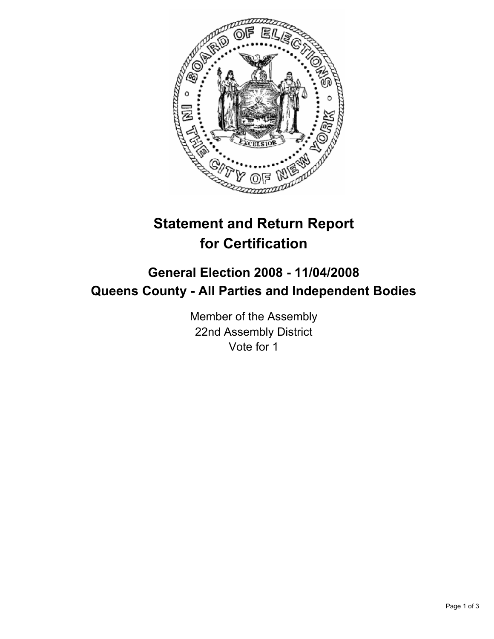

# **Statement and Return Report for Certification**

## **General Election 2008 - 11/04/2008 Queens County - All Parties and Independent Bodies**

Member of the Assembly 22nd Assembly District Vote for 1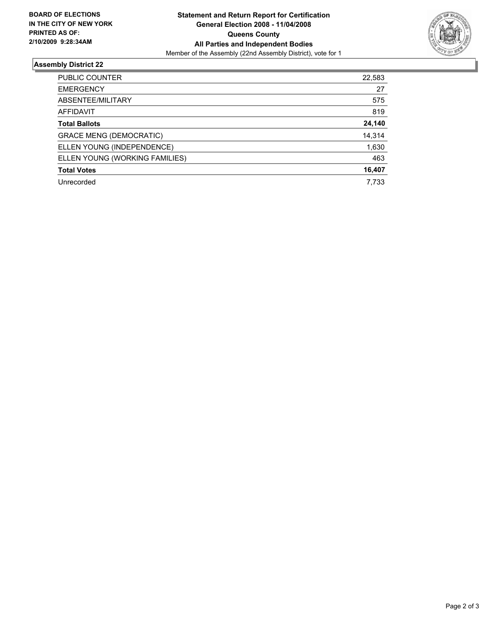

### **Assembly District 22**

| PUBLIC COUNTER                 | 22,583 |
|--------------------------------|--------|
| <b>EMERGENCY</b>               | 27     |
| ABSENTEE/MILITARY              | 575    |
| AFFIDAVIT                      | 819    |
| <b>Total Ballots</b>           | 24,140 |
| <b>GRACE MENG (DEMOCRATIC)</b> | 14,314 |
| ELLEN YOUNG (INDEPENDENCE)     | 1,630  |
| ELLEN YOUNG (WORKING FAMILIES) | 463    |
| <b>Total Votes</b>             | 16,407 |
| Unrecorded                     | 7,733  |